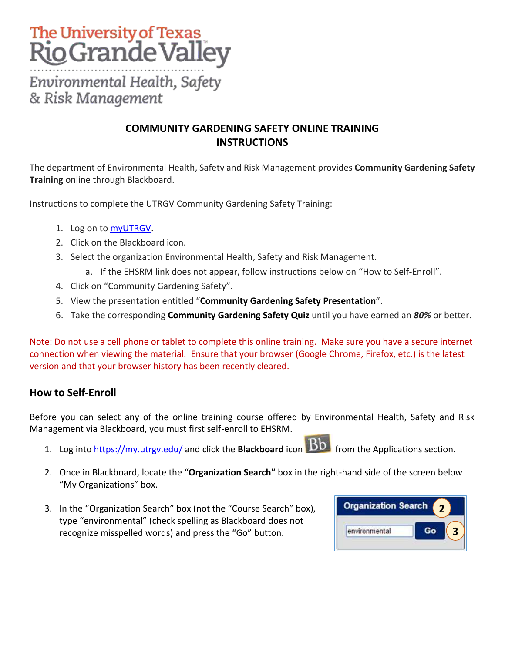## The University of Texas **Rio Grande Valley**

Environmental Health, Safety & Risk Management

## **COMMUNITY GARDENING SAFETY ONLINE TRAINING INSTRUCTIONS**

The department of Environmental Health, Safety and Risk Management provides **Community Gardening Safety Training** online through Blackboard.

Instructions to complete the UTRGV Community Gardening Safety Training:

- 1. Log on t[o myUTRGV.](https://my.utrgv.edu/)
- 2. Click on the Blackboard icon.
- 3. Select the organization Environmental Health, Safety and Risk Management.
	- a. If the EHSRM link does not appear, follow instructions below on "How to Self-Enroll".
- 4. Click on "Community Gardening Safety".
- 5. View the presentation entitled "**Community Gardening Safety Presentation**".
- 6. Take the corresponding **Community Gardening Safety Quiz** until you have earned an *80%* or better.

Note: Do not use a cell phone or tablet to complete this online training. Make sure you have a secure internet connection when viewing the material. Ensure that your browser (Google Chrome, Firefox, etc.) is the latest version and that your browser history has been recently cleared.

## **How to Self-Enroll**

Before you can select any of the online training course offered by Environmental Health, Safety and Risk Management via Blackboard, you must first self-enroll to EHSRM.

- 1. Log into **https://my.utrgv.edu/** and click the **Blackboard** icon **Bb** from the Applications section.
- 2. Once in Blackboard, locate the "**Organization Search"** box in the right-hand side of the screen below "My Organizations" box.
- 3. In the "Organization Search" box (not the "Course Search" box), type "environmental" (check spelling as Blackboard does not recognize misspelled words) and press the "Go" button.

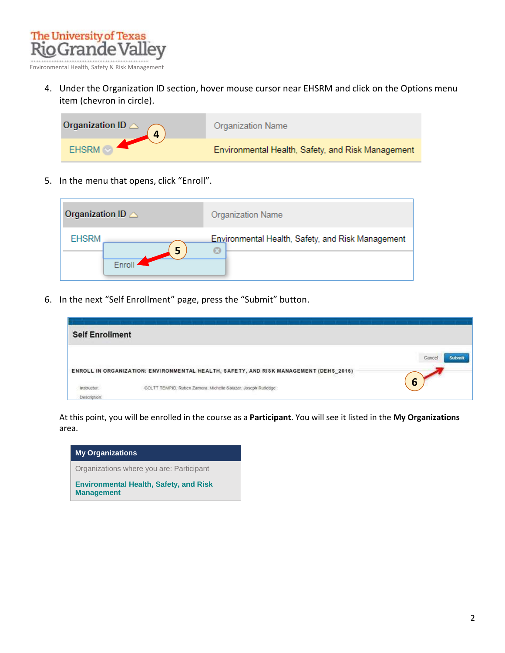

4. Under the Organization ID section, hover mouse cursor near EHSRM and click on the Options menu item (chevron in circle).



5. In the menu that opens, click "Enroll".



6. In the next "Self Enrollment" page, press the "Submit" button.

| <b>Self Enrollment</b> |                                                                                       |       |
|------------------------|---------------------------------------------------------------------------------------|-------|
|                        |                                                                                       | Cance |
|                        | ENROLL IN ORGANIZATION: ENVIRONMENTAL HEALTH, SAFETY, AND RISK MANAGEMENT (DEHS_2016) |       |
|                        | COLTT TEMPIO, Ruben Zamora, Michelle Salazar, Joseph Rutledge                         | ხ     |
|                        |                                                                                       |       |

At this point, you will be enrolled in the course as a **Participant**. You will see it listed in the **My Organizations** area.